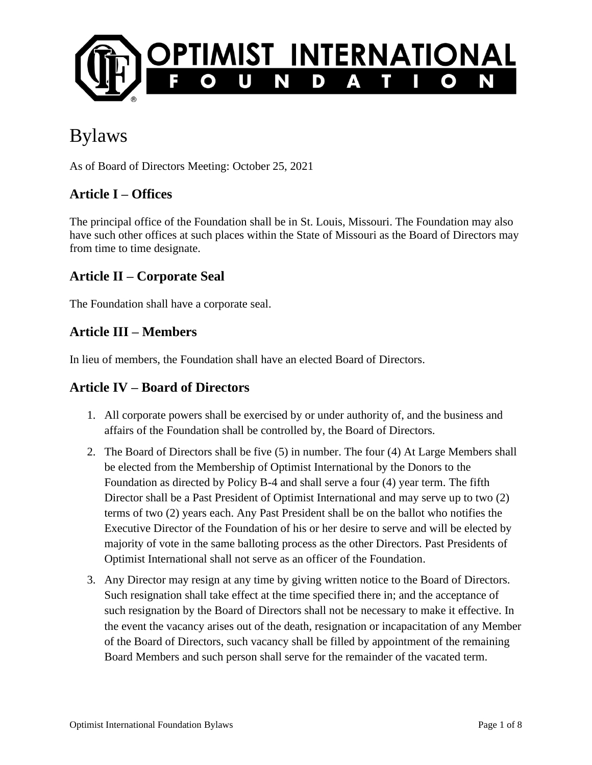

# Bylaws

As of Board of Directors Meeting: October 25, 2021

#### **Article I – Offices**

The principal office of the Foundation shall be in St. Louis, Missouri. The Foundation may also have such other offices at such places within the State of Missouri as the Board of Directors may from time to time designate.

#### **Article II – Corporate Seal**

The Foundation shall have a corporate seal.

#### **Article III – Members**

In lieu of members, the Foundation shall have an elected Board of Directors.

#### **Article IV – Board of Directors**

- 1. All corporate powers shall be exercised by or under authority of, and the business and affairs of the Foundation shall be controlled by, the Board of Directors.
- 2. The Board of Directors shall be five (5) in number. The four (4) At Large Members shall be elected from the Membership of Optimist International by the Donors to the Foundation as directed by Policy B-4 and shall serve a four (4) year term. The fifth Director shall be a Past President of Optimist International and may serve up to two (2) terms of two (2) years each. Any Past President shall be on the ballot who notifies the Executive Director of the Foundation of his or her desire to serve and will be elected by majority of vote in the same balloting process as the other Directors. Past Presidents of Optimist International shall not serve as an officer of the Foundation.
- 3. Any Director may resign at any time by giving written notice to the Board of Directors. Such resignation shall take effect at the time specified there in; and the acceptance of such resignation by the Board of Directors shall not be necessary to make it effective. In the event the vacancy arises out of the death, resignation or incapacitation of any Member of the Board of Directors, such vacancy shall be filled by appointment of the remaining Board Members and such person shall serve for the remainder of the vacated term.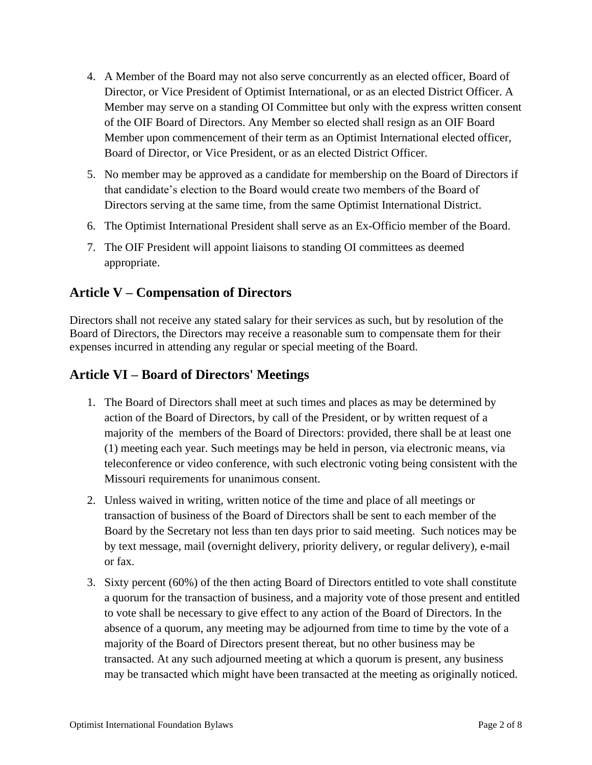- 4. A Member of the Board may not also serve concurrently as an elected officer, Board of Director, or Vice President of Optimist International, or as an elected District Officer. A Member may serve on a standing OI Committee but only with the express written consent of the OIF Board of Directors. Any Member so elected shall resign as an OIF Board Member upon commencement of their term as an Optimist International elected officer, Board of Director, or Vice President, or as an elected District Officer.
- 5. No member may be approved as a candidate for membership on the Board of Directors if that candidate's election to the Board would create two members of the Board of Directors serving at the same time, from the same Optimist International District.
- 6. The Optimist International President shall serve as an Ex-Officio member of the Board.
- 7. The OIF President will appoint liaisons to standing OI committees as deemed appropriate.

#### **Article V – Compensation of Directors**

Directors shall not receive any stated salary for their services as such, but by resolution of the Board of Directors, the Directors may receive a reasonable sum to compensate them for their expenses incurred in attending any regular or special meeting of the Board.

#### **Article VI – Board of Directors' Meetings**

- 1. The Board of Directors shall meet at such times and places as may be determined by action of the Board of Directors, by call of the President, or by written request of a majority of the members of the Board of Directors: provided, there shall be at least one (1) meeting each year. Such meetings may be held in person, via electronic means, via teleconference or video conference, with such electronic voting being consistent with the Missouri requirements for unanimous consent.
- 2. Unless waived in writing, written notice of the time and place of all meetings or transaction of business of the Board of Directors shall be sent to each member of the Board by the Secretary not less than ten days prior to said meeting. Such notices may be by text message, mail (overnight delivery, priority delivery, or regular delivery), e-mail or fax.
- 3. Sixty percent (60%) of the then acting Board of Directors entitled to vote shall constitute a quorum for the transaction of business, and a majority vote of those present and entitled to vote shall be necessary to give effect to any action of the Board of Directors. In the absence of a quorum, any meeting may be adjourned from time to time by the vote of a majority of the Board of Directors present thereat, but no other business may be transacted. At any such adjourned meeting at which a quorum is present, any business may be transacted which might have been transacted at the meeting as originally noticed.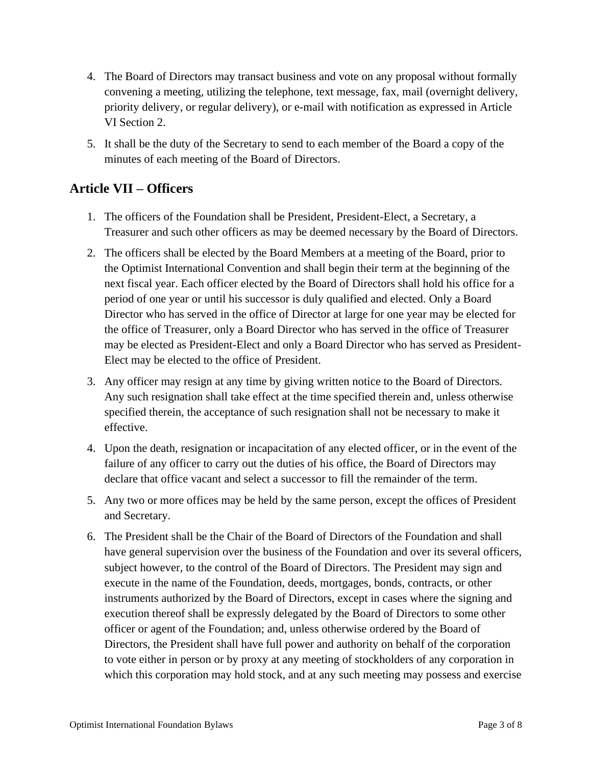- 4. The Board of Directors may transact business and vote on any proposal without formally convening a meeting, utilizing the telephone, text message, fax, mail (overnight delivery, priority delivery, or regular delivery), or e-mail with notification as expressed in Article VI Section 2.
- 5. It shall be the duty of the Secretary to send to each member of the Board a copy of the minutes of each meeting of the Board of Directors.

### **Article VII – Officers**

- 1. The officers of the Foundation shall be President, President-Elect, a Secretary, a Treasurer and such other officers as may be deemed necessary by the Board of Directors.
- 2. The officers shall be elected by the Board Members at a meeting of the Board, prior to the Optimist International Convention and shall begin their term at the beginning of the next fiscal year. Each officer elected by the Board of Directors shall hold his office for a period of one year or until his successor is duly qualified and elected. Only a Board Director who has served in the office of Director at large for one year may be elected for the office of Treasurer, only a Board Director who has served in the office of Treasurer may be elected as President-Elect and only a Board Director who has served as President-Elect may be elected to the office of President.
- 3. Any officer may resign at any time by giving written notice to the Board of Directors. Any such resignation shall take effect at the time specified therein and, unless otherwise specified therein, the acceptance of such resignation shall not be necessary to make it effective.
- 4. Upon the death, resignation or incapacitation of any elected officer, or in the event of the failure of any officer to carry out the duties of his office, the Board of Directors may declare that office vacant and select a successor to fill the remainder of the term.
- 5. Any two or more offices may be held by the same person, except the offices of President and Secretary.
- 6. The President shall be the Chair of the Board of Directors of the Foundation and shall have general supervision over the business of the Foundation and over its several officers, subject however, to the control of the Board of Directors. The President may sign and execute in the name of the Foundation, deeds, mortgages, bonds, contracts, or other instruments authorized by the Board of Directors, except in cases where the signing and execution thereof shall be expressly delegated by the Board of Directors to some other officer or agent of the Foundation; and, unless otherwise ordered by the Board of Directors, the President shall have full power and authority on behalf of the corporation to vote either in person or by proxy at any meeting of stockholders of any corporation in which this corporation may hold stock, and at any such meeting may possess and exercise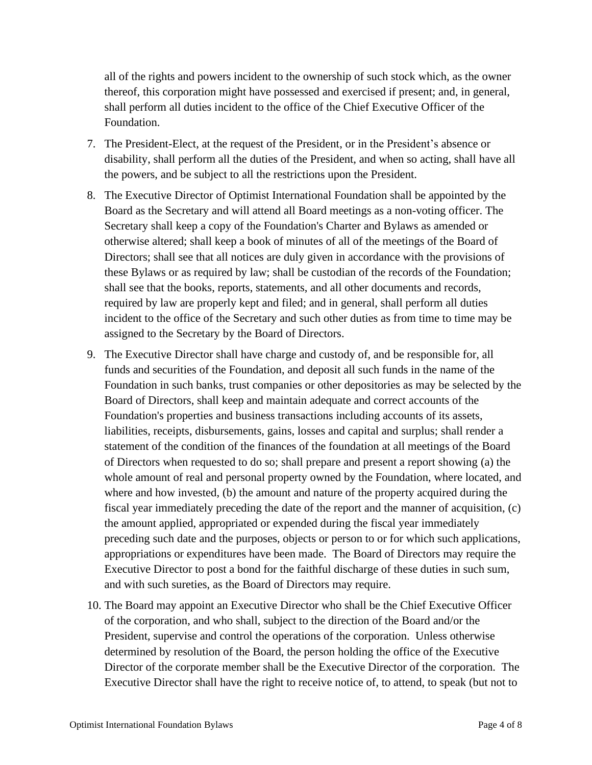all of the rights and powers incident to the ownership of such stock which, as the owner thereof, this corporation might have possessed and exercised if present; and, in general, shall perform all duties incident to the office of the Chief Executive Officer of the Foundation.

- 7. The President-Elect, at the request of the President, or in the President's absence or disability, shall perform all the duties of the President, and when so acting, shall have all the powers, and be subject to all the restrictions upon the President.
- 8. The Executive Director of Optimist International Foundation shall be appointed by the Board as the Secretary and will attend all Board meetings as a non-voting officer. The Secretary shall keep a copy of the Foundation's Charter and Bylaws as amended or otherwise altered; shall keep a book of minutes of all of the meetings of the Board of Directors; shall see that all notices are duly given in accordance with the provisions of these Bylaws or as required by law; shall be custodian of the records of the Foundation; shall see that the books, reports, statements, and all other documents and records, required by law are properly kept and filed; and in general, shall perform all duties incident to the office of the Secretary and such other duties as from time to time may be assigned to the Secretary by the Board of Directors.
- 9. The Executive Director shall have charge and custody of, and be responsible for, all funds and securities of the Foundation, and deposit all such funds in the name of the Foundation in such banks, trust companies or other depositories as may be selected by the Board of Directors, shall keep and maintain adequate and correct accounts of the Foundation's properties and business transactions including accounts of its assets, liabilities, receipts, disbursements, gains, losses and capital and surplus; shall render a statement of the condition of the finances of the foundation at all meetings of the Board of Directors when requested to do so; shall prepare and present a report showing (a) the whole amount of real and personal property owned by the Foundation, where located, and where and how invested, (b) the amount and nature of the property acquired during the fiscal year immediately preceding the date of the report and the manner of acquisition, (c) the amount applied, appropriated or expended during the fiscal year immediately preceding such date and the purposes, objects or person to or for which such applications, appropriations or expenditures have been made. The Board of Directors may require the Executive Director to post a bond for the faithful discharge of these duties in such sum, and with such sureties, as the Board of Directors may require.
- 10. The Board may appoint an Executive Director who shall be the Chief Executive Officer of the corporation, and who shall, subject to the direction of the Board and/or the President, supervise and control the operations of the corporation. Unless otherwise determined by resolution of the Board, the person holding the office of the Executive Director of the corporate member shall be the Executive Director of the corporation. The Executive Director shall have the right to receive notice of, to attend, to speak (but not to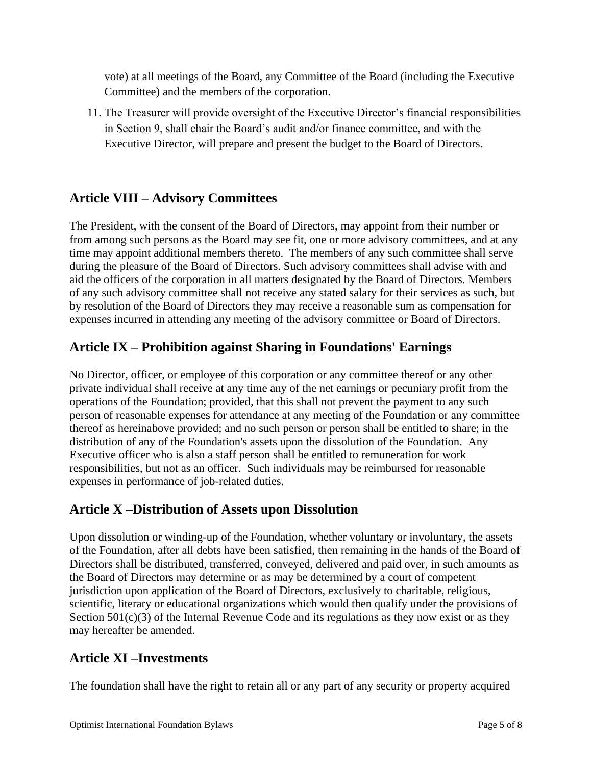vote) at all meetings of the Board, any Committee of the Board (including the Executive Committee) and the members of the corporation.

11. The Treasurer will provide oversight of the Executive Director's financial responsibilities in Section 9, shall chair the Board's audit and/or finance committee, and with the Executive Director, will prepare and present the budget to the Board of Directors.

# **Article VIII – Advisory Committees**

The President, with the consent of the Board of Directors, may appoint from their number or from among such persons as the Board may see fit, one or more advisory committees, and at any time may appoint additional members thereto. The members of any such committee shall serve during the pleasure of the Board of Directors. Such advisory committees shall advise with and aid the officers of the corporation in all matters designated by the Board of Directors. Members of any such advisory committee shall not receive any stated salary for their services as such, but by resolution of the Board of Directors they may receive a reasonable sum as compensation for expenses incurred in attending any meeting of the advisory committee or Board of Directors.

## **Article IX – Prohibition against Sharing in Foundations' Earnings**

No Director, officer, or employee of this corporation or any committee thereof or any other private individual shall receive at any time any of the net earnings or pecuniary profit from the operations of the Foundation; provided, that this shall not prevent the payment to any such person of reasonable expenses for attendance at any meeting of the Foundation or any committee thereof as hereinabove provided; and no such person or person shall be entitled to share; in the distribution of any of the Foundation's assets upon the dissolution of the Foundation. Any Executive officer who is also a staff person shall be entitled to remuneration for work responsibilities, but not as an officer. Such individuals may be reimbursed for reasonable expenses in performance of job-related duties.

#### **Article X –Distribution of Assets upon Dissolution**

Upon dissolution or winding-up of the Foundation, whether voluntary or involuntary, the assets of the Foundation, after all debts have been satisfied, then remaining in the hands of the Board of Directors shall be distributed, transferred, conveyed, delivered and paid over, in such amounts as the Board of Directors may determine or as may be determined by a court of competent jurisdiction upon application of the Board of Directors, exclusively to charitable, religious, scientific, literary or educational organizations which would then qualify under the provisions of Section  $501(c)(3)$  of the Internal Revenue Code and its regulations as they now exist or as they may hereafter be amended.

#### **Article XI –Investments**

The foundation shall have the right to retain all or any part of any security or property acquired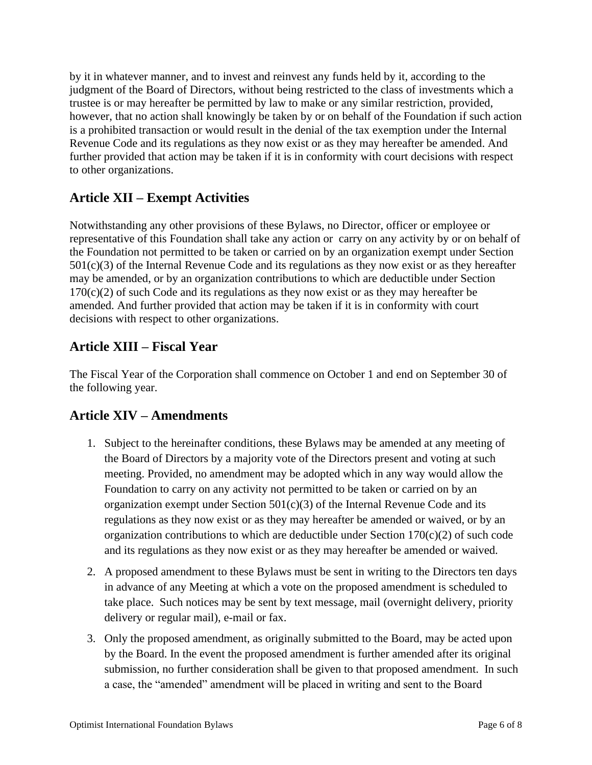by it in whatever manner, and to invest and reinvest any funds held by it, according to the judgment of the Board of Directors, without being restricted to the class of investments which a trustee is or may hereafter be permitted by law to make or any similar restriction, provided, however, that no action shall knowingly be taken by or on behalf of the Foundation if such action is a prohibited transaction or would result in the denial of the tax exemption under the Internal Revenue Code and its regulations as they now exist or as they may hereafter be amended. And further provided that action may be taken if it is in conformity with court decisions with respect to other organizations.

# **Article XII – Exempt Activities**

Notwithstanding any other provisions of these Bylaws, no Director, officer or employee or representative of this Foundation shall take any action or carry on any activity by or on behalf of the Foundation not permitted to be taken or carried on by an organization exempt under Section  $501(c)(3)$  of the Internal Revenue Code and its regulations as they now exist or as they hereafter may be amended, or by an organization contributions to which are deductible under Section  $170(c)(2)$  of such Code and its regulations as they now exist or as they may hereafter be amended. And further provided that action may be taken if it is in conformity with court decisions with respect to other organizations.

# **Article XIII – Fiscal Year**

The Fiscal Year of the Corporation shall commence on October 1 and end on September 30 of the following year.

# **Article XIV – Amendments**

- 1. Subject to the hereinafter conditions, these Bylaws may be amended at any meeting of the Board of Directors by a majority vote of the Directors present and voting at such meeting. Provided, no amendment may be adopted which in any way would allow the Foundation to carry on any activity not permitted to be taken or carried on by an organization exempt under Section  $501(c)(3)$  of the Internal Revenue Code and its regulations as they now exist or as they may hereafter be amended or waived, or by an organization contributions to which are deductible under Section  $170(c)(2)$  of such code and its regulations as they now exist or as they may hereafter be amended or waived.
- 2. A proposed amendment to these Bylaws must be sent in writing to the Directors ten days in advance of any Meeting at which a vote on the proposed amendment is scheduled to take place. Such notices may be sent by text message, mail (overnight delivery, priority delivery or regular mail), e-mail or fax.
- 3. Only the proposed amendment, as originally submitted to the Board, may be acted upon by the Board. In the event the proposed amendment is further amended after its original submission, no further consideration shall be given to that proposed amendment. In such a case, the "amended" amendment will be placed in writing and sent to the Board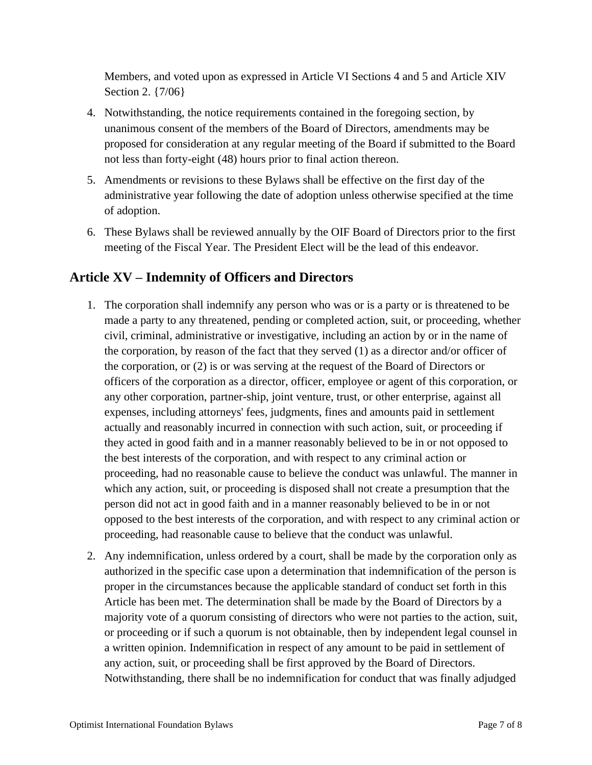Members, and voted upon as expressed in Article VI Sections 4 and 5 and Article XIV Section 2. {7/06}

- 4. Notwithstanding, the notice requirements contained in the foregoing section, by unanimous consent of the members of the Board of Directors, amendments may be proposed for consideration at any regular meeting of the Board if submitted to the Board not less than forty-eight (48) hours prior to final action thereon.
- 5. Amendments or revisions to these Bylaws shall be effective on the first day of the administrative year following the date of adoption unless otherwise specified at the time of adoption.
- 6. These Bylaws shall be reviewed annually by the OIF Board of Directors prior to the first meeting of the Fiscal Year. The President Elect will be the lead of this endeavor.

## **Article XV – Indemnity of Officers and Directors**

- 1. The corporation shall indemnify any person who was or is a party or is threatened to be made a party to any threatened, pending or completed action, suit, or proceeding, whether civil, criminal, administrative or investigative, including an action by or in the name of the corporation, by reason of the fact that they served (1) as a director and/or officer of the corporation, or (2) is or was serving at the request of the Board of Directors or officers of the corporation as a director, officer, employee or agent of this corporation, or any other corporation, partner-ship, joint venture, trust, or other enterprise, against all expenses, including attorneys' fees, judgments, fines and amounts paid in settlement actually and reasonably incurred in connection with such action, suit, or proceeding if they acted in good faith and in a manner reasonably believed to be in or not opposed to the best interests of the corporation, and with respect to any criminal action or proceeding, had no reasonable cause to believe the conduct was unlawful. The manner in which any action, suit, or proceeding is disposed shall not create a presumption that the person did not act in good faith and in a manner reasonably believed to be in or not opposed to the best interests of the corporation, and with respect to any criminal action or proceeding, had reasonable cause to believe that the conduct was unlawful.
- 2. Any indemnification, unless ordered by a court, shall be made by the corporation only as authorized in the specific case upon a determination that indemnification of the person is proper in the circumstances because the applicable standard of conduct set forth in this Article has been met. The determination shall be made by the Board of Directors by a majority vote of a quorum consisting of directors who were not parties to the action, suit, or proceeding or if such a quorum is not obtainable, then by independent legal counsel in a written opinion. Indemnification in respect of any amount to be paid in settlement of any action, suit, or proceeding shall be first approved by the Board of Directors. Notwithstanding, there shall be no indemnification for conduct that was finally adjudged